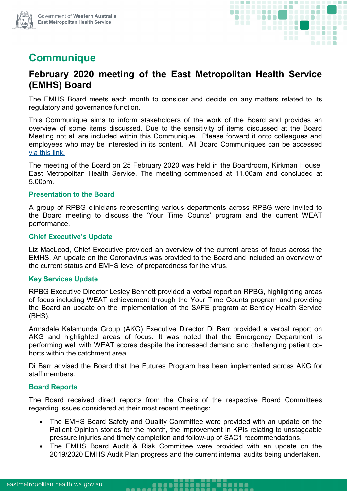

# **Communique**

## **February 2020 meeting of the East Metropolitan Health Service (EMHS) Board**

The EMHS Board meets each month to consider and decide on any matters related to its regulatory and governance function.

This Communique aims to inform stakeholders of the work of the Board and provides an overview of some items discussed. Due to the sensitivity of items discussed at the Board Meeting not all are included within this Communique. Please forward it onto colleagues and employees who may be interested in its content. All Board Communiques can be accessed [via this link.](https://emhs.health.wa.gov.au/About-Us/Health-Service-Board)

The meeting of the Board on 25 February 2020 was held in the Boardroom, Kirkman House, East Metropolitan Health Service. The meeting commenced at 11.00am and concluded at 5.00pm.

### **Presentation to the Board**

A group of RPBG clinicians representing various departments across RPBG were invited to the Board meeting to discuss the 'Your Time Counts' program and the current WEAT performance.

### **Chief Executive's Update**

Liz MacLeod, Chief Executive provided an overview of the current areas of focus across the EMHS. An update on the Coronavirus was provided to the Board and included an overview of the current status and EMHS level of preparedness for the virus.

### **Key Services Update**

RPBG Executive Director Lesley Bennett provided a verbal report on RPBG, highlighting areas of focus including WEAT achievement through the Your Time Counts program and providing the Board an update on the implementation of the SAFE program at Bentley Health Service (BHS).

Armadale Kalamunda Group (AKG) Executive Director Di Barr provided a verbal report on AKG and highlighted areas of focus. It was noted that the Emergency Department is performing well with WEAT scores despite the increased demand and challenging patient cohorts within the catchment area.

Di Barr advised the Board that the Futures Program has been implemented across AKG for staff members.

### **Board Reports**

The Board received direct reports from the Chairs of the respective Board Committees regarding issues considered at their most recent meetings:

- The EMHS Board Safety and Quality Committee were provided with an update on the Patient Opinion stories for the month, the improvement in KPIs relating to unstageable pressure injuries and timely completion and follow-up of SAC1 recommendations.
- The EMHS Board Audit & Risk Committee were provided with an update on the 2019/2020 EMHS Audit Plan progress and the current internal audits being undertaken.

**TOOOOO** 

<u>aaso SSS</u>

. . . . .